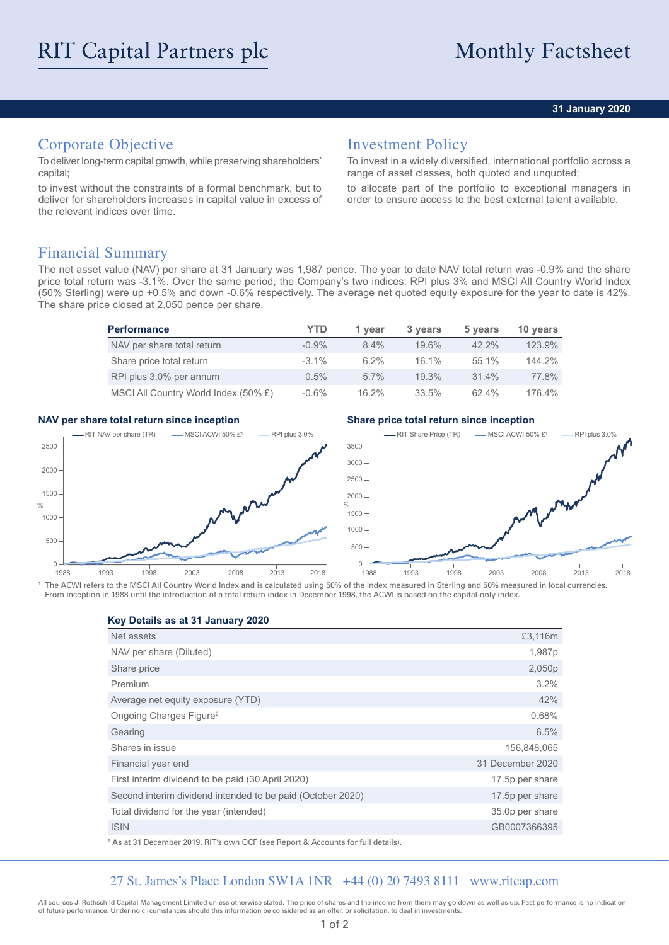### **31 January 2020**

# Corporate Objective

To deliver long-term capital growth, while preserving shareholders' capital;

to invest without the constraints of a formal benchmark, but to deliver for shareholders increases in capital value in excess of the relevant indices over time.

## Investment Policy

To invest in a widely diversified, international portfolio across a range of asset classes, both quoted and unquoted;

to allocate part of the portfolio to exceptional managers in order to ensure access to the best external talent available.

## Financial Summary

The net asset value (NAV) per share at 31 January was 1,987 pence. The year to date NAV total return was -0.9% and the share price total return was -3.1%. Over the same period, the Company's two indices; RPI plus 3% and MSCI All Country World Index (50% Sterling) were up +0.5% and down -0.6% respectively. The average net quoted equity exposure for the year to date is 42%. The share price closed at 2,050 pence per share.

| <b>Performance</b>                   | YTD      | 1 year   | 3 years  | 5 years  | 10 years |
|--------------------------------------|----------|----------|----------|----------|----------|
| NAV per share total return           | $-0.9\%$ | $8.4\%$  | 19.6%    | $42.2\%$ | 123.9%   |
| Share price total return             | $-3.1\%$ | $6.2\%$  | 16.1%    | 55.1%    | 144.2%   |
| RPI plus 3.0% per annum              | $0.5\%$  | $5.7\%$  | $19.3\%$ | $31.4\%$ | 77.8%    |
| MSCI All Country World Index (50% £) | $-0.6%$  | $16.2\%$ | 33.5%    | $62.4\%$ | 176.4%   |

### **NAV per share total return since inception Share price total return since inception**



<sup>1</sup> The ACWI refers to the MSCI All Country World Index and is calculated using 50% of the index measured in Sterling and 50% measured in local currencies. From inception in 1988 until the introduction of a total return index in December 1998, the ACWI is based on the capital-only index.

**Key Details as at 31 January 2020**

| Net assets                                                 | £3,116m          |
|------------------------------------------------------------|------------------|
| NAV per share (Diluted)                                    | 1,987p           |
| Share price                                                | 2,050p           |
| Premium                                                    | 3.2%             |
| Average net equity exposure (YTD)                          | 42%              |
| Ongoing Charges Figure <sup>2</sup>                        | 0.68%            |
| Gearing                                                    | 6.5%             |
| Shares in issue                                            | 156,848,065      |
| Financial year end                                         | 31 December 2020 |
| First interim dividend to be paid (30 April 2020)          | 17.5p per share  |
| Second interim dividend intended to be paid (October 2020) | 17.5p per share  |
| Total dividend for the year (intended)                     | 35.0p per share  |
| <b>ISIN</b>                                                | GB0007366395     |
|                                                            |                  |

2 As at 31 December 2019. RIT's own OCF (see Report & Accounts for full details).

## 27 St. James's Place London SW1A 1NR +44 (0) 20 7493 8111 www.ritcap.com

All sources J. Rothschild Capital Management Limited unless otherwise stated. The price of shares and the income from them may go down as well as up. Past performance is no indication of future performance. Under no circumstances should this information be considered as an offer, or solicitation, to deal in investments.